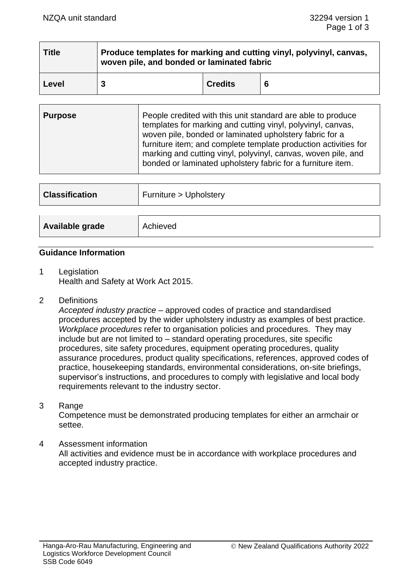| <b>Title</b> | Produce templates for marking and cutting vinyl, polyvinyl, canvas,<br>woven pile, and bonded or laminated fabric |                |    |
|--------------|-------------------------------------------------------------------------------------------------------------------|----------------|----|
| Level        |                                                                                                                   | <b>Credits</b> | -6 |

| <b>Purpose</b> | People credited with this unit standard are able to produce<br>templates for marking and cutting vinyl, polyvinyl, canvas,<br>woven pile, bonded or laminated upholstery fabric for a<br>furniture item; and complete template production activities for<br>marking and cutting vinyl, polyvinyl, canvas, woven pile, and<br>bonded or laminated upholstery fabric for a furniture item. |
|----------------|------------------------------------------------------------------------------------------------------------------------------------------------------------------------------------------------------------------------------------------------------------------------------------------------------------------------------------------------------------------------------------------|
|                |                                                                                                                                                                                                                                                                                                                                                                                          |

| <b>Classification</b> | Furniture > Upholstery |
|-----------------------|------------------------|
|                       |                        |
| Available grade       | Achieved               |

## **Guidance Information**

- 1 Legislation Health and Safety at Work Act 2015.
- 2 Definitions

*Accepted industry practice* – approved codes of practice and standardised procedures accepted by the wider upholstery industry as examples of best practice. *Workplace procedures* refer to organisation policies and procedures. They may include but are not limited to – standard operating procedures, site specific procedures, site safety procedures, equipment operating procedures, quality assurance procedures, product quality specifications, references, approved codes of practice, housekeeping standards, environmental considerations, on-site briefings, supervisor's instructions, and procedures to comply with legislative and local body requirements relevant to the industry sector.

3 Range

Competence must be demonstrated producing templates for either an armchair or settee.

4 Assessment information All activities and evidence must be in accordance with workplace procedures and accepted industry practice.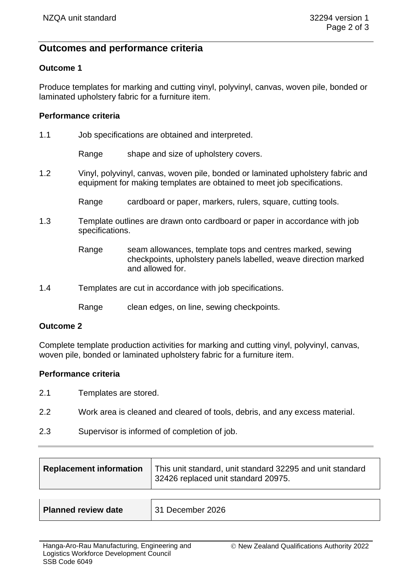# **Outcomes and performance criteria**

## **Outcome 1**

Produce templates for marking and cutting vinyl, polyvinyl, canvas, woven pile, bonded or laminated upholstery fabric for a furniture item.

### **Performance criteria**

1.1 Job specifications are obtained and interpreted.

Range shape and size of upholstery covers.

1.2 Vinyl, polyvinyl, canvas, woven pile, bonded or laminated upholstery fabric and equipment for making templates are obtained to meet job specifications.

Range cardboard or paper, markers, rulers, square, cutting tools.

- 1.3 Template outlines are drawn onto cardboard or paper in accordance with job specifications.
	- Range seam allowances, template tops and centres marked, sewing checkpoints, upholstery panels labelled, weave direction marked and allowed for.
- 1.4 Templates are cut in accordance with job specifications.

Range clean edges, on line, sewing checkpoints.

#### **Outcome 2**

Complete template production activities for marking and cutting vinyl, polyvinyl, canvas, woven pile, bonded or laminated upholstery fabric for a furniture item.

#### **Performance criteria**

- 2.1 Templates are stored.
- 2.2 Work area is cleaned and cleared of tools, debris, and any excess material.
- 2.3 Supervisor is informed of completion of job.

| <b>Replacement information</b> | This unit standard, unit standard 32295 and unit standard<br>32426 replaced unit standard 20975. |
|--------------------------------|--------------------------------------------------------------------------------------------------|
|                                |                                                                                                  |
| <b>Planned review date</b>     | 31 December 2026                                                                                 |